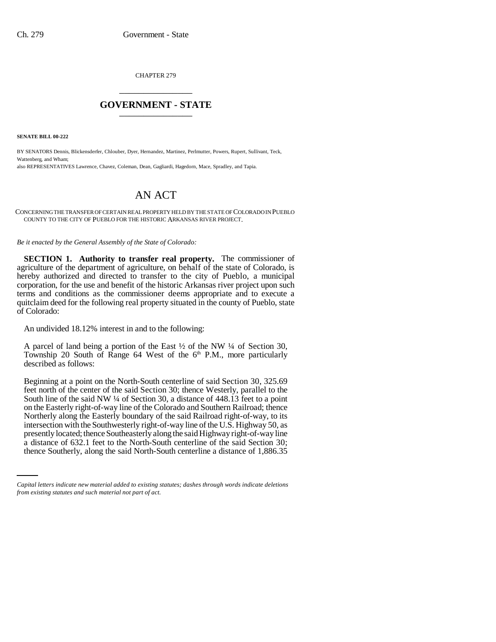CHAPTER 279 \_\_\_\_\_\_\_\_\_\_\_\_\_\_\_

### **GOVERNMENT - STATE** \_\_\_\_\_\_\_\_\_\_\_\_\_\_\_

**SENATE BILL 00-222** 

BY SENATORS Dennis, Blickensderfer, Chlouber, Dyer, Hernandez, Martinez, Perlmutter, Powers, Rupert, Sullivant, Teck, Wattenberg, and Wham; also REPRESENTATIVES Lawrence, Chavez, Coleman, Dean, Gagliardi, Hagedorn, Mace, Spradley, and Tapia.

# AN ACT

CONCERNING THE TRANSFER OF CERTAIN REAL PROPERTY HELD BY THE STATE OF COLORADO IN PUEBLO COUNTY TO THE CITY OF PUEBLO FOR THE HISTORIC ARKANSAS RIVER PROJECT.

*Be it enacted by the General Assembly of the State of Colorado:*

**SECTION 1. Authority to transfer real property.** The commissioner of agriculture of the department of agriculture, on behalf of the state of Colorado, is hereby authorized and directed to transfer to the city of Pueblo, a municipal corporation, for the use and benefit of the historic Arkansas river project upon such terms and conditions as the commissioner deems appropriate and to execute a quitclaim deed for the following real property situated in the county of Pueblo, state of Colorado:

An undivided 18.12% interest in and to the following:

A parcel of land being a portion of the East ½ of the NW ¼ of Section 30, Township 20 South of Range 64 West of the  $6<sup>th</sup>$  P.M., more particularly described as follows:

presently located; thence Southeasterly along the said Highway right-of-way line Beginning at a point on the North-South centerline of said Section 30, 325.69 feet north of the center of the said Section 30; thence Westerly, parallel to the South line of the said NW ¼ of Section 30, a distance of 448.13 feet to a point on the Easterly right-of-way line of the Colorado and Southern Railroad; thence Northerly along the Easterly boundary of the said Railroad right-of-way, to its intersection with the Southwesterly right-of-way line of the U.S. Highway 50, as a distance of 632.1 feet to the North-South centerline of the said Section 30; thence Southerly, along the said North-South centerline a distance of 1,886.35

*Capital letters indicate new material added to existing statutes; dashes through words indicate deletions from existing statutes and such material not part of act.*